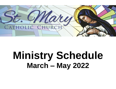

## **Ministry Schedule March – May 2022**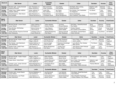| <b>March 5-6</b> | <b>Altar Server</b>           | Lector              | Eucharistic<br><b>Minister</b> | Greeter                  | <b>Usher</b>                 | Sacristan       | Accomp         | Choir<br>Cantor |
|------------------|-------------------------------|---------------------|--------------------------------|--------------------------|------------------------------|-----------------|----------------|-----------------|
| Saturday,        | Rosella Light, Jordan Schmidt | Joan Thompson (1)   | <b>Marvin Schmitt</b>          | Joyce Barta              | Dick Barta, Sam Lensing      | KellyAnn Light- | <b>Brennan</b> | Lisa            |
| 5:00 PM          | Kayanna Schmidt               | Susan Schmitt (2)   | Doug Thompson                  | Lisa Havlicek            | Daniel Burnhardt             | McGroary        | Plummer        | Kaefring        |
| Sunday,          | Isabel Frees, Gabbie Jedlicka | Amber Jedlicka (1)  | Jenan Ellis                    | Jen Fetzer               | Ron Holubar, Gus Vassiliades | Tim Brown       | Cary           | Robert          |
| 8:30 AM          | Isabella Jedlicka             | Kevin Hayes (2)     | Nick Jedlicka                  | Tom Stout                | Tim Wegmann                  |                 | <b>Brock</b>   | Upmeyer         |
| Sunday,          | Olivia Bonnema, Elliot Hamm   | Adam Bonnema (1)    | Denise Bruck                   | Geri Kohlhaas            | Dennis Erenberger            | Carole Martin   | Sarah          | Nichole         |
| 10:30 AM         | Elly Schadler                 | Theresa Bonnema (2) | <b>Christopher Bruck</b>       | <b>Michel Montgomery</b> | Kevin Oestreich, Kyle Stahle |                 | Olsem          | Wander          |

| <b>March</b><br>$12 - 13$ | <b>Altar Server</b>                              | Lector                                   | <b>Eucharistic Minister</b>            | Greeter                         | <b>Usher</b>                                        | Sacristan        | Accomp       | <b>Choir/Cantor</b> |
|---------------------------|--------------------------------------------------|------------------------------------------|----------------------------------------|---------------------------------|-----------------------------------------------------|------------------|--------------|---------------------|
| Saturday,                 | Michael DeValk, Lincoln Swann                    | Adam Kaefring (1)                        | Adam Haluska                           | Jim Krob                        | Dick Barta, Daniel Burnhardt                        | Doug             | Brennan      | Nichole             |
| 5:00 PM                   | Lauryn Swann                                     | Bill Wieland (2)                         | Kendra Haluska                         | <b>Richard Meehan</b>           | Roy Gaddis                                          | Thompson         | Plummer      | Wander              |
| Sunday,                   | Rose McAtee, Will McAtee                         | Steven Schnor (1)                        | Judy Gleason                           | Darlene Klouda                  | Charles Gleason                                     | Mark             | Chuck        | Small Group         |
| 8:30 AM                   | Alina Steele                                     | Terry Krob (2)                           | Valeria Schnor                         | Diane Siddell                   | Ron Greazel, Bruce Koffron                          | Sovers           | <b>Brock</b> | - Scheduled         |
| Sunday,<br>10:30 AM       | Jordan Schmidt, Kayanna Schmidt<br>Zack Wieskamp | Christine Cross (1)<br>David Ritchie (2) | Michel Montgomery<br><b>Ruth Myers</b> | Shanna Schmidt<br>Alan Wieskamp | Trent Brown, Donald Myers<br><b>Patrick Schmidt</b> | Carole<br>Martin | Cary Brock   | Jeri Bollwitt       |

| <u>March 19-20</u> | <b>Altar Server</b>           | Lector               | <b>Eucharistic Minister</b> | Greeter                  | <b>Usher</b>               | Sacristan  | Accomp         | <b>Choir/Cantor</b> |
|--------------------|-------------------------------|----------------------|-----------------------------|--------------------------|----------------------------|------------|----------------|---------------------|
| Saturday,          | Michael DeValk, Kaden Hoeper  | LeAnn Hugeback (1)   | Theresa Bonnema             | <b>Shirley Flansburg</b> | Kevin Felton, Ron Hugeback | Linda Croy | <b>Brennan</b> | LeAnn               |
| 5:00 PM            | Elly Schadler                 | Megan Laing (2)      | Karla Klosterman            | Don Zimmerman            | Janet Luedtka              |            | Plummer        | Hugeback            |
| Sunday,            | Elly Holubar, Jack Steinbrech | Natalie Stallman (1) | Jeannie Haight              | Rosemary Erenberger      | Larry Brecht, Ron Holubar  | Tim Brown  | Sarah          | Robert              |
| 8:30 AM            | Julia Steinbrech              | Tama Hemann (2)      | Luann Pisarik               | Mark Haight              | Mark Sovers                |            | Olsem          | Upmeyer             |
| Sunday,            | Hayden Frees, Isabel Frees    | Deb Bruene (1)       | Michel Montgomery           | <b>Timothy Ferry</b>     | John Bruene, Mark Roskopf  | Carole     | Carv           | Lisa Kaefring       |
| 10:30 AM           | Brennan Heesch                | Mary Christensen (2) | <b>Ruth Myers</b>           | Sean O'Neill             | Alan Wieskamp              | Martin     | <b>Brock</b>   |                     |

| <b>March</b><br>$26 - 27$ | <b>Altar Server</b>          | Lector                | <b>Eucharistic Minister</b> | Greeter              | Usher                         | Sacristan               | Accomp       | Choir<br>Cantor |
|---------------------------|------------------------------|-----------------------|-----------------------------|----------------------|-------------------------------|-------------------------|--------------|-----------------|
| Saturday,                 | Michael DeValk, Kaden Hoeper | Megan Laing (1)       | Adam Haluska                | <b>Michael Bretz</b> | Ron Hugeback, Sam Lensing     | <b>Bill Wieland</b>     | Cary         | LeAnn           |
| 5:00 PM                   | Rosella Light                | LeAnn Hugeback (2)    | Kendra Haluska              | Becky Simon          | Tom Stout                     |                         | <b>Brock</b> | Hugeback        |
| Sunday,                   | Caden Brock, Carter Brock    | Amber Jedlicka (1)    | Theresa Bonnema             | Darlene Klouda       | Kevin Felton, Nick Jedlicka   | KellyAnn Light-         | Chuck        | Choir -         |
| 8:30 AM                   |                              | Kevin Hayes (2)       | Nancy Upmeyer               | Diane Siddell        | <b>Gus Vassiliades</b>        | McGroary                | <b>Brock</b> | Scheduled       |
| Sunday,                   | Camden Lyons, Jordan Schmidt | Michel Montgomery (1) | <b>Christopher Bruck</b>    | <b>Brian Miller</b>  | Dennis Erenberger             | <b>Theresa Mitchell</b> | Cary         | Keela           |
| 10:30 AM                  | Kayanna Schmidt              | Cheryel Reyhons (2)   | June Maiers                 | Mark Pattison        | Kevin Miller, Patrick Schmidt |                         | <b>Brock</b> | Uhlenkamp       |

| April 2 - 3 | <b>Altar Server</b>          | Lector                | <b>Eucharistic Minister</b> | Greeter               | <b>Usher</b>                 | Sacristan | Accomp         | <b>Choir/Cantor</b> |
|-------------|------------------------------|-----------------------|-----------------------------|-----------------------|------------------------------|-----------|----------------|---------------------|
| Saturday,   | Rosella Light, Lincoln Swann | Bonnie Mattaliano (1) | Joan Burnhardt              | Lisa Havlicek         | Dick Barta, Daniel Burnhardt | Tom       | Carv           | Choir -             |
| 5:00 PM     | Laurvn Swann                 | Lee Connell (2)       | Linda Manary                | Kevin Manarv          | David Ritchie                | Stout     | <b>Brock</b>   | Scheduled           |
| Sunday,     | Olivia Bonnema, Lexi Pealer  | Judy Gleason (1)      | Theresa Bonnema             | Daniel Erenberger     | Mary Elizabeth Erenberger    | Mark      | Brennan        | Nichole             |
| 8:30 AM     | Sean Steinbrech              | Adam Bonnema (2)      | Steven Schnor               | <b>Patrick Nallev</b> | Charles Gleason, Ron Greazel | Sovers    | <b>Plummer</b> | Wander              |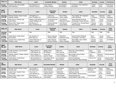| April 2 - 3 | <b>Altar Server</b>         | Lector              | <b>Eucharistic Minister</b> | Greeter       | <b>Usher</b>                 | Sacristan | Accomp       | <b>Choir/Cantor</b> |
|-------------|-----------------------------|---------------------|-----------------------------|---------------|------------------------------|-----------|--------------|---------------------|
| Sunday,     | Hayden Frees, Elly Schadler | Alan Wieskamp (1)   | Adam Haluska                | Ann Oestreich | Trent Brown, Kevin Oestreich | Carole    | Chuck        | Small Group         |
| 10:30 AM    | Zack Wieskamp               | Christine Cross (2) | Kendra Haluska              | Jeff Schadler | Kyle Stahle                  | Martin    | <b>Brock</b> | - Scheduled         |

| <b>April</b><br>$9 - 10$ | <b>Altar Server</b>          | Lector                      | Eucharistic<br><b>Minister</b> | Greeter        | <b>Usher</b>                | Sacristan | Accomp         | Choir<br>Cantor |
|--------------------------|------------------------------|-----------------------------|--------------------------------|----------------|-----------------------------|-----------|----------------|-----------------|
| Saturday,                | Michael DeValk, Kaden Hoeper | Jeff Kaefring (1)           | Linda Crov                     | Kevin Felton   | Roy Gaddis, Ron Hugeback    | Doug      | <b>Brennan</b> | LeAnn           |
| 5:00 PM                  | Isabella Jedlicka            | Joan Thompson (2)           | Karla Klosterman               | Janet Luedtka  | Adam Kaefring               | Thompson  | Plummer        | Hugeback        |
| Sunday,                  | Elliot Hamm, Rosella Light   | KellyAnn Light-McGroary (1) | Tim Broghammer                 | Larry Brecht   | Mary Elizabeth & Daniel     | Steven    | Chuck          | Sm Group -      |
| 8:30 AM                  | Kobe Ridout                  | Joseph Wilkinson (2)        | Tim Brown                      | DeWayne Klouda | Erenberger, Patrick Schmidt | Schnor    | <b>Brock</b>   | Scheduled       |
| Sunday,                  | Reese Hahn, Madyn Hahn       | Deb Bruene (1)              | <b>Theresa Mitchell</b>        | John Bruene    | Timothy Ferry, Donald Myers | Theresa   | Carv           | Nichole         |
| 10:30 AM                 | <b>Brennan Heesch</b>        | Mary Christensen (2)        | <b>Ruth Myers</b>              | Carole Martin  | Mark Roskopf                | Mitchel   | <b>Brock</b>   | Wander          |

| $4/16 - 17$        | <b>Altar Server</b>        | Lector              | Eucharistic<br><b>Minister</b> | Greeter               | <b>Usher</b>               | <b>Sacristan</b> | Accomp       | Choir<br>Cantor |
|--------------------|----------------------------|---------------------|--------------------------------|-----------------------|----------------------------|------------------|--------------|-----------------|
| Saturday<br>8:30PM | <b>TBA</b>                 | TBA                 | <b>TBA</b>                     | <b>TBA</b>            | TBA                        | <b>TBA</b>       | TBA          | <b>TBA</b>      |
| Sunday,            | Caden Brock, Carter Brock  | Ron Holubar (1)     | Nancy Upmeyer                  | Molly Bock            | Daniel & Mary Elizabeth    | Mark             | Chuck        | Choir -         |
| 8:30 AM            | Elly Holubar               | Brian Bock (2)      | Theresa Zeller                 | Salvatore Leone       | Erenberger, Tom Stout      | Sovers           | <b>Brock</b> | Scheduled       |
| Sunday,            | Hayden Frees, Isabel Frees | Cheryel Reyhons (1) | Adam Haluska                   | Kevin Miller          | Brian Miller, Sean O'Neill | Theresa          | Cary         | Jeri Bollwitt   |
| 10:30 AM           | Camden Lyons               | Megan Laing (2)     | Kendra Haluska                 | <b>Sharon Sprague</b> | Mark Pattison              | Mitchell         | <b>Brock</b> |                 |

| <b>April</b><br>$23 - 24$ | <b>Altar Server</b>                 | Lector              | Eucharistic<br><b>Minister</b> | Greeter          | <b>Usher</b>                  | Sacristan  | Accomp         | <b>Choir</b><br>Cantor |
|---------------------------|-------------------------------------|---------------------|--------------------------------|------------------|-------------------------------|------------|----------------|------------------------|
| Saturday,                 | Jordan Schmidt, Lincoln Swann       | Wayne Ahern (1)     | <b>Shelley Ahern</b>           | Kathy Hirl       | Steve Hirl, Adam Kaefring     | Doug       | Carv           | Lisa Kaefring          |
| 5:00 PM                   | Lauryn Swann                        | Linda Manary (2)    | <b>Bill Wieland</b>            | Sam Lensing      | David Ritchie                 | Thompson   | <b>Brock</b>   |                        |
| Sunday,                   | Isabella Jedlicka , Gabbie Jedlicka | Nick Jedlicka (1)   | Jenan Ellis                    | Geri Kohlhaas    | Mark Haight, Bruce Koffron    | Judy       | <b>Brennan</b> | Nichole Wander         |
| 8:30 AM                   | Alina Steele                        | Amber Jedlicka (2)  | Jeannie Haight                 | Linda Linderbaum | Tim Wegmann                   | Gleason    | Plummer        |                        |
| Sunday,                   | Caden Brock, Carter Brock           | Alan Wieskamp (1)   | <b>Christopher Bruck</b>       | Ann Oestreich    | Dennis Erenberger             | Dennis Uhl | Chuck          | A Brock S Olsem        |
| 10:30 AM                  | Zack Wieskamp                       | Christine Cross (2) | Denise Bruck                   | Becky Simon      | Kevin Oestreich, Mark Roskopf |            | <b>Brock</b>   | K Uhlenkamp            |

| <u>Apr</u><br>30May 1 | <b>Altar Server</b>                     | Lector                                 | <b>Eucharistic Minister</b> | Greeter                                | <b>Usher</b>                                           | Sacristan       | Accomp               | Choir<br>Cantor |
|-----------------------|-----------------------------------------|----------------------------------------|-----------------------------|----------------------------------------|--------------------------------------------------------|-----------------|----------------------|-----------------|
| Saturday,             | Michael DeValk, Kaden Hoeper            | Lee Connell (1)                        | Joan Burnhardt              | Joyce Barta                            | Dick Barta, Kevin Felton                               | KellyAnn Light- | Sarah                | Keela           |
| 5:00 PM               | Rosella Light                           | Jeff Kaefring (2)                      | Adam Kaefring               | Jim Krob                               | Daniel Burnhardt                                       | McGroarv        | Olsem                | Uhlenkamp       |
| Sunday,               | Isabel Frees, Hayden Frees              | Terry Krob (1)                         | <b>Charles Gleason</b>      | Molly Bock                             | DeWayne Klouda                                         | Judy Gleason    | Cary                 | Nichole         |
| 8:30 AM               | Lexi Pealer                             | Judy Gleason (2)                       | Valeria Schnor              | Jill Wegmann                           | Patrick Nalley, Steven Schnor                          |                 | <b>Brock</b>         | Wander          |
| Sunday,<br>10:30 AM   | Reese Hahn, Madyn Hahn<br>Elly Schadler | Ruth Myers (1)<br>Mary Christensen (2) | Adam Haluska<br>June Maiers | Jeff Schadler<br><b>Sharon Sprague</b> | <b>Michel Montgomery</b><br>Donald Myers, Sean O'Neill | Carole Martin   | Cary<br><b>Brock</b> | Lisa Kaefring   |